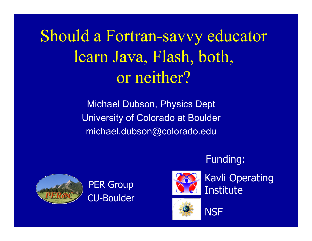Should a Fortran-savvy educator learn Java, Flash, both, or neither?

> Michael Dubson, Physics Dept University of Colorado at Boulder michael.dubson@colorado.edu



**PER Group** CU-Boulder



Kavli Operating Institute

Funding:



**NSF**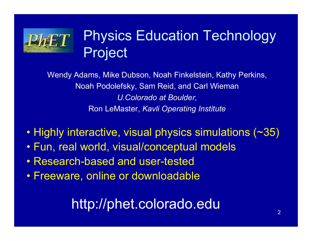

# Physics Education Technology Project

Wendy Adams, Mike Dubson, Noah Finkelstein, Kathy Perkins, Noah Podolefsky, Sam Reid, and Carl Wieman *U.Colorado at Boulder,*  Ron LeMaster, *Kavli Operating Institute*

- Highly interactive, visual physics simulations (~35)
- Fun, real world, visual/conceptual models
- •Research-based and user-tested
- Freeware, online or downloadable

# http://phet.colorado.edu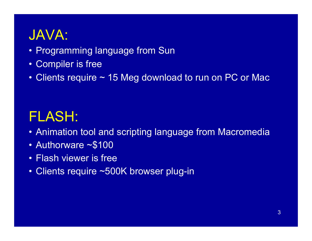# JAVA:

- Programming language from Sun
- Compiler is free
- Clients require ~ 15 Meg download to run on PC or Mac

# FLASH:

- Animation tool and scripting language from Macromedia
- Authorware ~\$100
- Flash viewer is free
- Clients require ~500K browser plug-in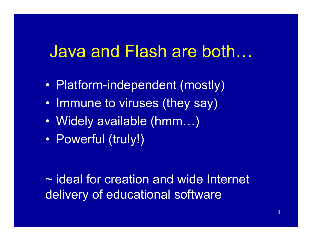# Java and Flash are both…

- $\bullet$ Platform-independent (mostly)
- •• Immune to viruses (they say)
- $\bullet$ Widely available (hmm…)
- $\bullet$ Powerful (truly!)

~ ideal for creation and wide Internet delivery of educational software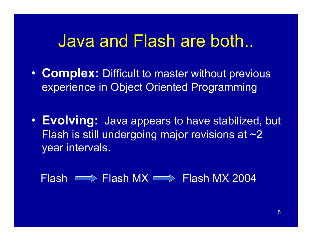# Java and Flash are both..

- $\bullet$  **Complex:** Difficult to master without previous experience in Object Oriented Programming
- **Evolving:** Java appears to have stabilized, but Flash is still undergoing major revisions at ~2 year intervals.

Flash Flash MX Flash MX 2004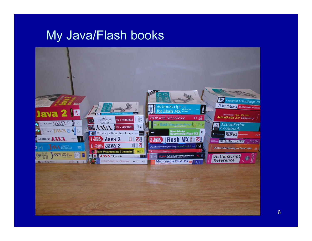#### My Java/Flash books

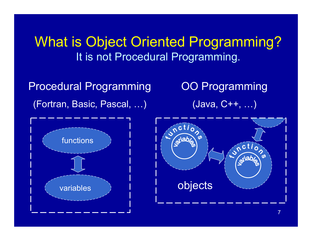What is Object Oriented Programming? It is not Procedural Programming.

Procedural Programming (Fortran, Basic, Pascal, …)

OO Programming (Java, C++, …)



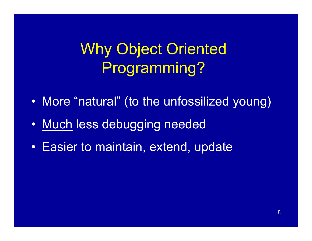Why Object Oriented Programming?

- $\bullet$ More "natural" (to the unfossilized young)
- $\bullet$ M u c h less debugging needed
- •• Easier to maintain, extend, update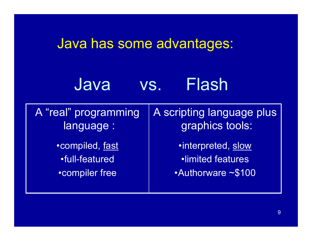#### Java has some advantages:

# Java vs. Flash

A scripting language plus graphics tools: A "real" programming language :

• compiled, fast •full-featured • compiler free

•interpreted, slow •limited features•Authorware~\$100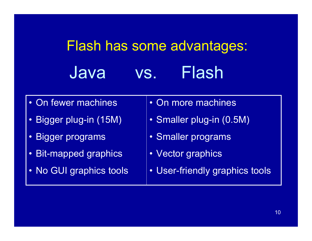# Flash has some advantages: Java vs. Flash

- •On fewer machines
- Bigger plug-in (15M)
- Bigger programs
- Bit-mapped graphics
- No GUI graphics tools
- On more machines
- Smaller plug-in (0.5M)
- Smaller programs
- Vector graphics
- User-friendly graphics tools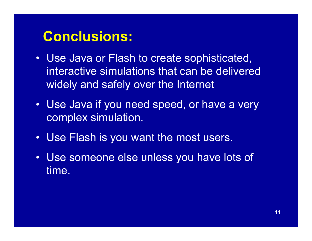## **Conclusions:**

- $\bullet$ Use Java or Flash to create sophisticated, interactive simulations that can be delivered widely and safely over the Internet
- Use Java if you need speed, or have a very complex simulation.
- •Use Flash is you want the most users.
- $\bullet$  Use someone else unless you have lots of time.